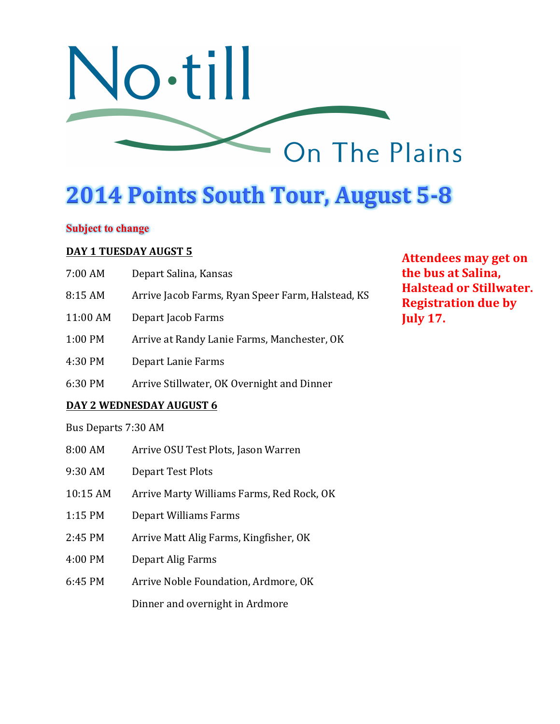

# **2014 Points South Tour, August 5-8**

## **Subject to change**

#### **DAY 1 TUESDAY AUGST 5**

| 7:00 AM                  | Depart Salina, Kansas                             |
|--------------------------|---------------------------------------------------|
| 8:15AM                   | Arrive Jacob Farms, Ryan Speer Farm, Halstead, KS |
| 11:00 AM                 | Depart Jacob Farms                                |
| $1:00$ PM                | Arrive at Randy Lanie Farms, Manchester, OK       |
| 4:30 PM                  | Depart Lanie Farms                                |
| 6:30 PM                  | Arrive Stillwater, OK Overnight and Dinner        |
| DAY 2 WEDNESDAY AUGUST 6 |                                                   |

Bus Departs 7:30 AM

- 8:00 AM Arrive OSU Test Plots, Jason Warren
- 9:30 AM Depart Test Plots
- 10:15 AM Arrive Marty Williams Farms, Red Rock, OK
- 1:15 PM Depart Williams Farms
- 2:45 PM Arrive Matt Alig Farms, Kingfisher, OK
- 4:00 PM Depart Alig Farms
- 6:45 PM Arrive Noble Foundation, Ardmore, OK

Dinner and overnight in Ardmore

**Attendees may get on the bus at Salina. Halstead or Stillwater. Registration due by July 17.**